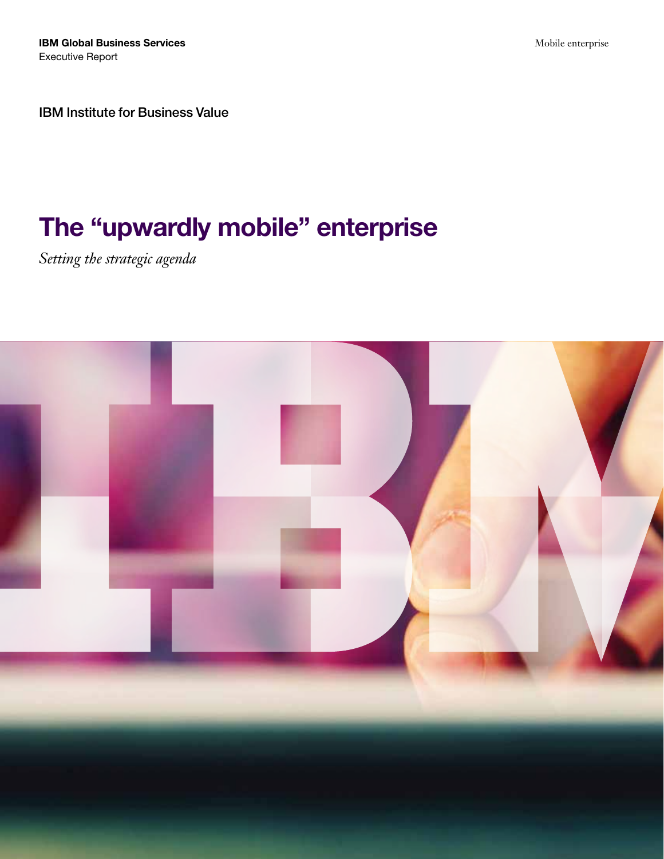IBM Global Business Services Executive Report

Mobile enterprise

IBM Institute for Business Value

# The "upwardly mobile" enterprise

*Setting the strategic agenda*

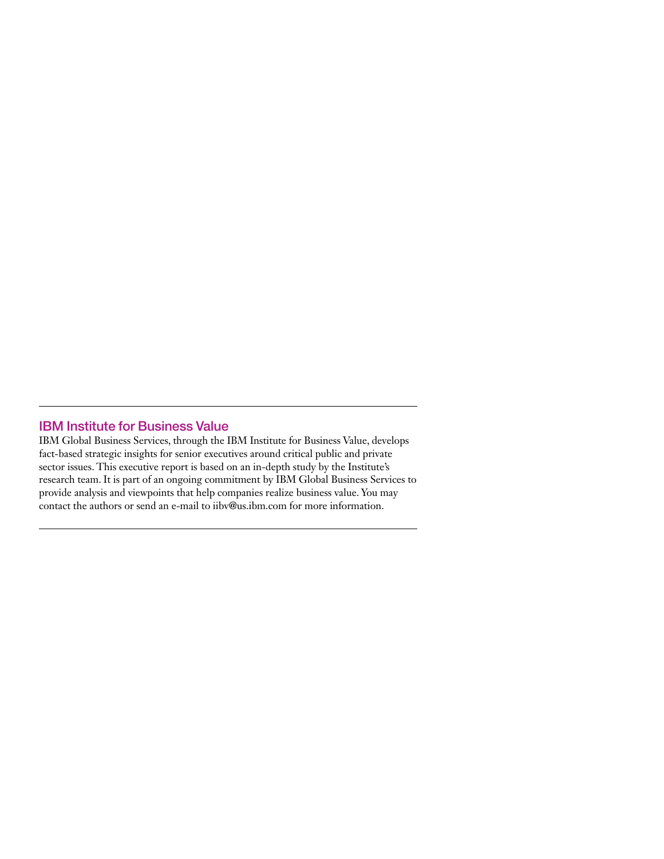# IBM Institute for Business Value

IBM Global Business Services, through the IBM Institute for Business Value, develops fact-based strategic insights for senior executives around critical public and private sector issues. This executive report is based on an in-depth study by the Institute's research team. It is part of an ongoing commitment by IBM Global Business Services to provide analysis and viewpoints that help companies realize business value. You may contact the authors or send an e-mail to [iibv@us.ibm.com](mailto:iibv@us.ibm.com) for more information.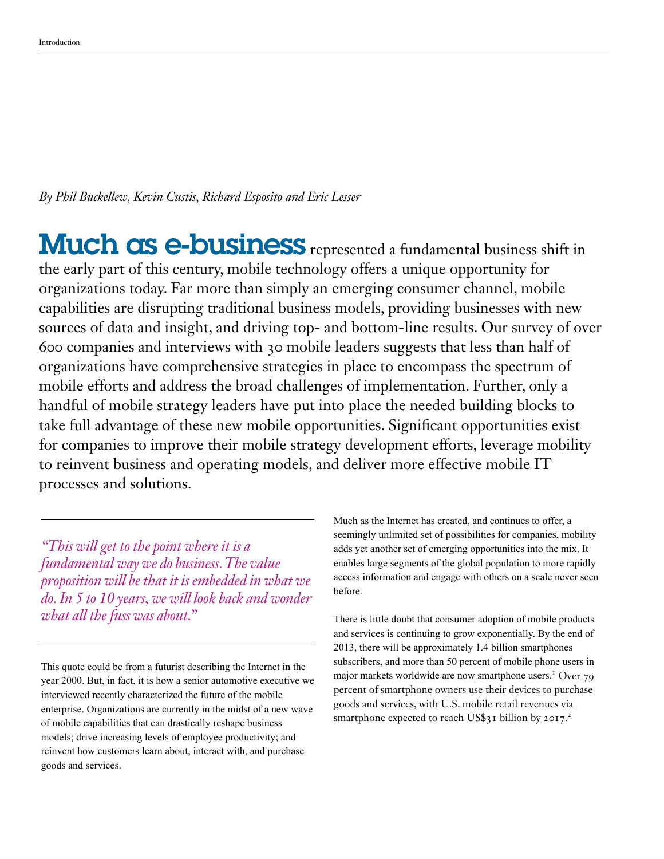*By Phil Buckellew, Kevin Custis, Richard Esposito and Eric Lesser*

Much as e-business represented a fundamental business shift in the early part of this century, mobile technology offers a unique opportunity for organizations today. Far more than simply an emerging consumer channel, mobile capabilities are disrupting traditional business models, providing businesses with new sources of data and insight, and driving top- and bottom-line results. Our survey of over 600 companies and interviews with 30 mobile leaders suggests that less than half of organizations have comprehensive strategies in place to encompass the spectrum of mobile efforts and address the broad challenges of implementation. Further, only a handful of mobile strategy leaders have put into place the needed building blocks to take full advantage of these new mobile opportunities. Significant opportunities exist for companies to improve their mobile strategy development efforts, leverage mobility to reinvent business and operating models, and deliver more effective mobile IT processes and solutions.

*"This will get to the point where it is a fundamental way we do business. The value proposition will be that it is embedded in what we do. In 5 to 10 years, we will look back and wonder what all the fuss was about."*

This quote could be from a futurist describing the Internet in the year 2000. But, in fact, it is how a senior automotive executive we interviewed recently characterized the future of the mobile enterprise. Organizations are currently in the midst of a new wave of mobile capabilities that can drastically reshape business models; drive increasing levels of employee productivity; and reinvent how customers learn about, interact with, and purchase goods and services.

Much as the Internet has created, and continues to offer, a seemingly unlimited set of possibilities for companies, mobility adds yet another set of emerging opportunities into the mix. It enables large segments of the global population to more rapidly access information and engage with others on a scale never seen before.

There is little doubt that consumer adoption of mobile products and services is continuing to grow exponentially. By the end of 2013, there will be approximately 1.4 billion smartphones subscribers, and more than 50 percent of mobile phone users in major markets worldwide are now smartphone users.<sup>1</sup> Over 79 percent of smartphone owners use their devices to purchase goods and services, with U.S. mobile retail revenues via smartphone expected to reach US\$31 billion by 2017.<sup>2</sup>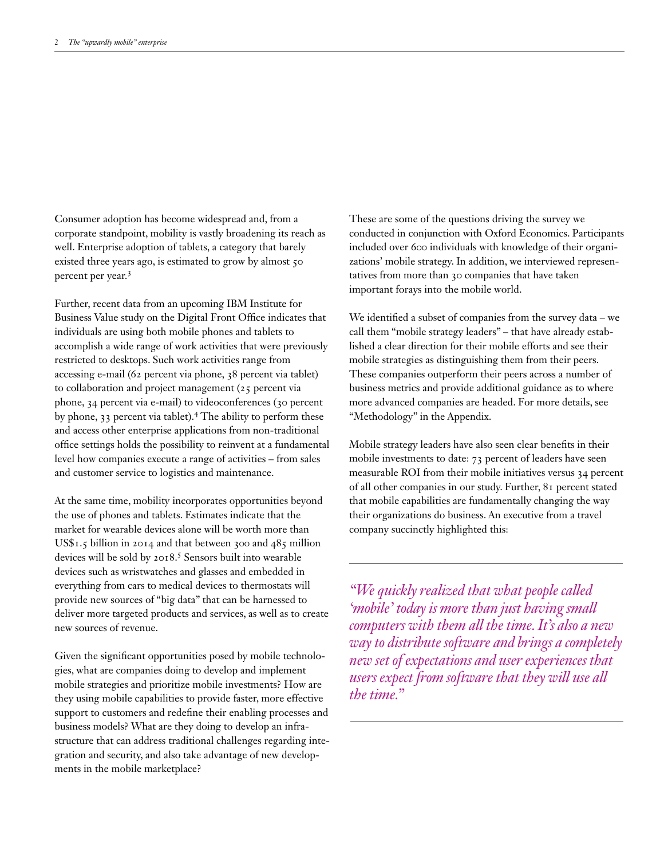Consumer adoption has become widespread and, from a corporate standpoint, mobility is vastly broadening its reach as well. Enterprise adoption of tablets, a category that barely existed three years ago, is estimated to grow by almost 50 percent per year.<sup>3</sup>

Further, recent data from an upcoming IBM Institute for Business Value study on the Digital Front Office indicates that individuals are using both mobile phones and tablets to accomplish a wide range of work activities that were previously restricted to desktops. Such work activities range from accessing e-mail (62 percent via phone, 38 percent via tablet) to collaboration and project management (25 percent via phone, 34 percent via e-mail) to videoconferences (30 percent by phone, 33 percent via tablet).<sup>4</sup> The ability to perform these and access other enterprise applications from non-traditional office settings holds the possibility to reinvent at a fundamental level how companies execute a range of activities – from sales and customer service to logistics and maintenance.

At the same time, mobility incorporates opportunities beyond the use of phones and tablets. Estimates indicate that the market for wearable devices alone will be worth more than US\$1.5 billion in 2014 and that between 300 and 485 million devices will be sold by 2018.<sup>5</sup> Sensors built into wearable devices such as wristwatches and glasses and embedded in everything from cars to medical devices to thermostats will provide new sources of "big data" that can be harnessed to deliver more targeted products and services, as well as to create new sources of revenue.

Given the significant opportunities posed by mobile technologies, what are companies doing to develop and implement mobile strategies and prioritize mobile investments? How are they using mobile capabilities to provide faster, more effective support to customers and redefine their enabling processes and business models? What are they doing to develop an infrastructure that can address traditional challenges regarding integration and security, and also take advantage of new developments in the mobile marketplace?

These are some of the questions driving the survey we conducted in conjunction with Oxford Economics. Participants included over 600 individuals with knowledge of their organizations' mobile strategy. In addition, we interviewed representatives from more than 30 companies that have taken important forays into the mobile world.

We identified a subset of companies from the survey data – we call them "mobile strategy leaders" – that have already established a clear direction for their mobile efforts and see their mobile strategies as distinguishing them from their peers. These companies outperform their peers across a number of business metrics and provide additional guidance as to where more advanced companies are headed. For more details, see "Methodology" in the Appendix.

Mobile strategy leaders have also seen clear benefits in their mobile investments to date: 73 percent of leaders have seen measurable ROI from their mobile initiatives versus 34 percent of all other companies in our study. Further, 81 percent stated that mobile capabilities are fundamentally changing the way their organizations do business. An executive from a travel company succinctly highlighted this:

*"We quickly realized that what people called 'mobile' today is more than just having small computers with them all the time. It's also a new way to distribute software and brings a completely new set of expectations and user experiences that users expect from software that they will use all the time."*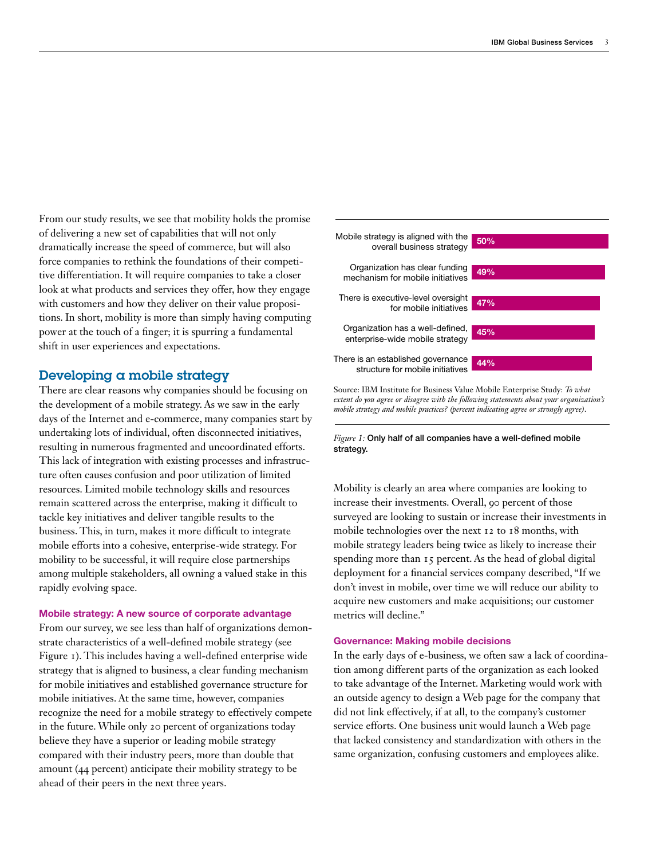From our study results, we see that mobility holds the promise of delivering a new set of capabilities that will not only dramatically increase the speed of commerce, but will also force companies to rethink the foundations of their competitive differentiation. It will require companies to take a closer look at what products and services they offer, how they engage with customers and how they deliver on their value propositions. In short, mobility is more than simply having computing power at the touch of a finger; it is spurring a fundamental shift in user experiences and expectations.

# Developing a mobile strategy

There are clear reasons why companies should be focusing on the development of a mobile strategy. As we saw in the early days of the Internet and e-commerce, many companies start by undertaking lots of individual, often disconnected initiatives, resulting in numerous fragmented and uncoordinated efforts. This lack of integration with existing processes and infrastructure often causes confusion and poor utilization of limited resources. Limited mobile technology skills and resources remain scattered across the enterprise, making it difficult to tackle key initiatives and deliver tangible results to the business. This, in turn, makes it more difficult to integrate mobile efforts into a cohesive, enterprise-wide strategy. For mobility to be successful, it will require close partnerships among multiple stakeholders, all owning a valued stake in this rapidly evolving space.

#### Mobile strategy: A new source of corporate advantage

From our survey, we see less than half of organizations demonstrate characteristics of a well-defined mobile strategy (see Figure 1). This includes having a well-defined enterprise wide strategy that is aligned to business, a clear funding mechanism for mobile initiatives and established governance structure for mobile initiatives. At the same time, however, companies recognize the need for a mobile strategy to effectively compete in the future. While only 20 percent of organizations today believe they have a superior or leading mobile strategy compared with their industry peers, more than double that amount (44 percent) anticipate their mobility strategy to be ahead of their peers in the next three years.



Source: IBM Institute for Business Value Mobile Enterprise Study: *To what extent do you agree or disagree with the following statements about your organization's mobile strategy and mobile practices? (percent indicating agree or strongly agree)*.

#### *Figure 1:* Only half of all companies have a well-defined mobile strategy.

Mobility is clearly an area where companies are looking to increase their investments. Overall, 90 percent of those surveyed are looking to sustain or increase their investments in mobile technologies over the next 12 to 18 months, with mobile strategy leaders being twice as likely to increase their spending more than 15 percent. As the head of global digital deployment for a financial services company described, "If we don't invest in mobile, over time we will reduce our ability to acquire new customers and make acquisitions; our customer metrics will decline."

## Governance: Making mobile decisions

In the early days of e-business, we often saw a lack of coordination among different parts of the organization as each looked to take advantage of the Internet. Marketing would work with an outside agency to design a Web page for the company that did not link effectively, if at all, to the company's customer service efforts. One business unit would launch a Web page that lacked consistency and standardization with others in the same organization, confusing customers and employees alike.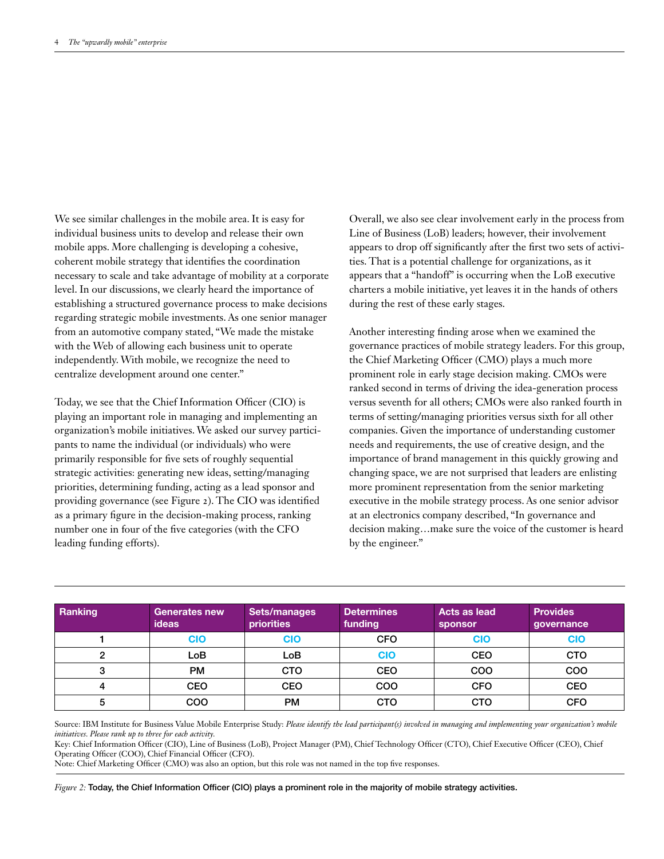We see similar challenges in the mobile area. It is easy for individual business units to develop and release their own mobile apps. More challenging is developing a cohesive, coherent mobile strategy that identifies the coordination necessary to scale and take advantage of mobility at a corporate level. In our discussions, we clearly heard the importance of establishing a structured governance process to make decisions regarding strategic mobile investments. As one senior manager from an automotive company stated, "We made the mistake with the Web of allowing each business unit to operate independently. With mobile, we recognize the need to centralize development around one center."

Today, we see that the Chief Information Officer (CIO) is playing an important role in managing and implementing an organization's mobile initiatives. We asked our survey participants to name the individual (or individuals) who were primarily responsible for five sets of roughly sequential strategic activities: generating new ideas, setting/managing priorities, determining funding, acting as a lead sponsor and providing governance (see Figure 2). The CIO was identified as a primary figure in the decision-making process, ranking number one in four of the five categories (with the CFO leading funding efforts).

Overall, we also see clear involvement early in the process from Line of Business (LoB) leaders; however, their involvement appears to drop off significantly after the first two sets of activities. That is a potential challenge for organizations, as it appears that a "handoff" is occurring when the LoB executive charters a mobile initiative, yet leaves it in the hands of others during the rest of these early stages.

Another interesting finding arose when we examined the governance practices of mobile strategy leaders. For this group, the Chief Marketing Officer (CMO) plays a much more prominent role in early stage decision making. CMOs were ranked second in terms of driving the idea-generation process versus seventh for all others; CMOs were also ranked fourth in terms of setting/managing priorities versus sixth for all other companies. Given the importance of understanding customer needs and requirements, the use of creative design, and the importance of brand management in this quickly growing and changing space, we are not surprised that leaders are enlisting more prominent representation from the senior marketing executive in the mobile strategy process. As one senior advisor at an electronics company described, "In governance and decision making…make sure the voice of the customer is heard by the engineer."

| Ranking | <b>Generates new</b><br>ideas | Sets/manages<br>priorities | <b>Determines</b><br>funding | Acts as lead<br><b>sponsor</b> | <b>Provides</b><br>governance |
|---------|-------------------------------|----------------------------|------------------------------|--------------------------------|-------------------------------|
|         | CIO                           | <b>CIO</b>                 | <b>CFO</b>                   | <b>CIO</b>                     | <b>CIO</b>                    |
|         | LoB                           | LoB                        | <b>CIO</b>                   | <b>CEO</b>                     | <b>CTO</b>                    |
| ν       | <b>PM</b>                     | <b>CTO</b>                 | <b>CEO</b>                   | COO                            | COO                           |
| 4       | <b>CEO</b>                    | <b>CEO</b>                 | <b>COO</b>                   | <b>CFO</b>                     | <b>CEO</b>                    |
| 5       | COO                           | <b>PM</b>                  | <b>CTO</b>                   | <b>CTO</b>                     | <b>CFO</b>                    |

Source: IBM Institute for Business Value Mobile Enterprise Study: Please identify the lead participant(s) involved in managing and implementing your organization's mobile *initiatives. Please rank up to three for each activity.*

Key: Chief Information Officer (CIO), Line of Business (LoB), Project Manager (PM), Chief Technology Officer (CTO), Chief Executive Officer (CEO), Chief Operating Officer (COO), Chief Financial Officer (CFO).

Note: Chief Marketing Officer (CMO) was also an option, but this role was not named in the top five responses.

*Figure 2:* Today, the Chief Information Officer (CIO) plays a prominent role in the majority of mobile strategy activities.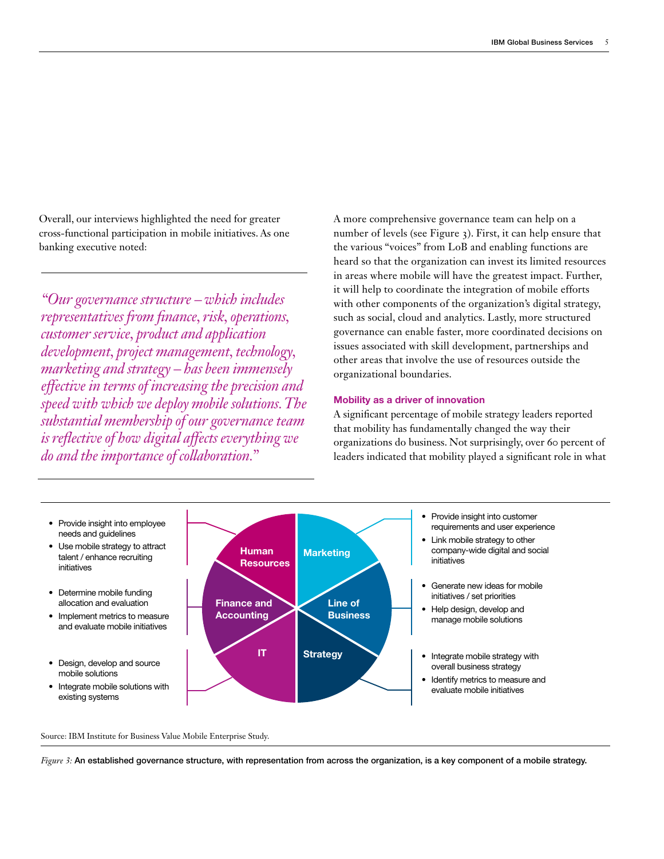Overall, our interviews highlighted the need for greater cross-functional participation in mobile initiatives. As one banking executive noted:

*"Our governance structure – which includes representatives from finance, risk, operations, customer service, product and application development, project management, technology, marketing and strategy – has been immensely effective in terms of increasing the precision and speed with which we deploy mobile solutions. The substantial membership of our governance team is reflective of how digital affects everything we do and the importance of collaboration."* 

A more comprehensive governance team can help on a number of levels (see Figure 3). First, it can help ensure that the various "voices" from LoB and enabling functions are heard so that the organization can invest its limited resources in areas where mobile will have the greatest impact. Further, it will help to coordinate the integration of mobile efforts with other components of the organization's digital strategy, such as social, cloud and analytics. Lastly, more structured governance can enable faster, more coordinated decisions on issues associated with skill development, partnerships and other areas that involve the use of resources outside the organizational boundaries.

## Mobility as a driver of innovation

A significant percentage of mobile strategy leaders reported that mobility has fundamentally changed the way their organizations do business. Not surprisingly, over 60 percent of leaders indicated that mobility played a significant role in what



Source: IBM Institute for Business Value Mobile Enterprise Study.

*Figure 3:* An established governance structure, with representation from across the organization, is a key component of a mobile strategy.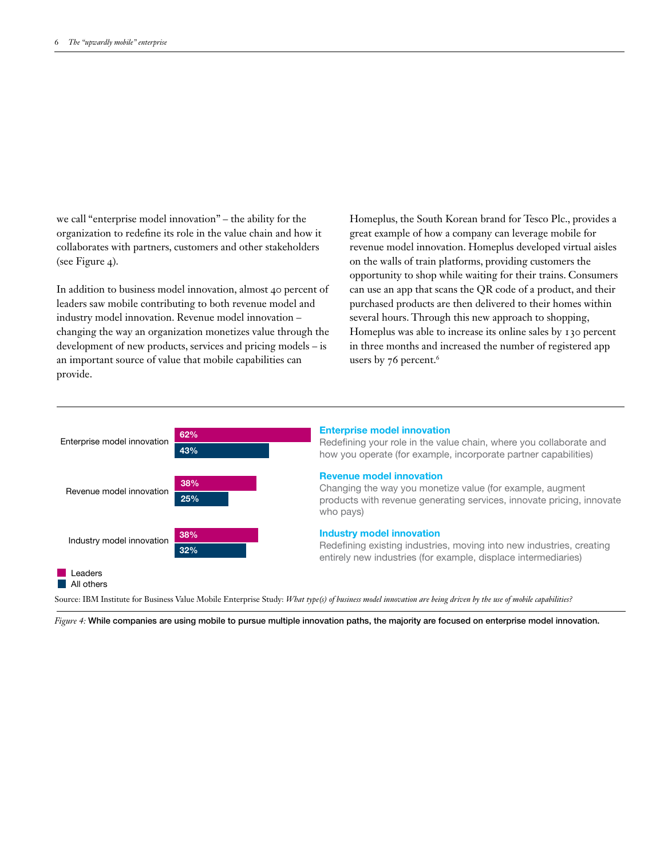we call "enterprise model innovation" – the ability for the organization to redefine its role in the value chain and how it collaborates with partners, customers and other stakeholders (see Figure 4).

In addition to business model innovation, almost 40 percent of leaders saw mobile contributing to both revenue model and industry model innovation. Revenue model innovation – changing the way an organization monetizes value through the development of new products, services and pricing models – is an important source of value that mobile capabilities can provide.

Homeplus, the South Korean brand for Tesco Plc., provides a great example of how a company can leverage mobile for revenue model innovation. Homeplus developed virtual aisles on the walls of train platforms, providing customers the opportunity to shop while waiting for their trains. Consumers can use an app that scans the QR code of a product, and their purchased products are then delivered to their homes within several hours. Through this new approach to shopping, Homeplus was able to increase its online sales by 130 percent in three months and increased the number of registered app users by 76 percent.<sup>6</sup>



#### Enterprise model innovation

Redefining your role in the value chain, where you collaborate and how you operate (for example, incorporate partner capabilities)

#### Revenue model innovation

Changing the way you monetize value (for example, augment products with revenue generating services, innovate pricing, innovate who pays)

#### Industry model innovation

Redefining existing industries, moving into new industries, creating entirely new industries (for example, displace intermediaries)

Source: IBM Institute for Business Value Mobile Enterprise Study: *What type(s) of business model innovation are being driven by the use of mobile capabilities?* 

*Figure 4:* While companies are using mobile to pursue multiple innovation paths, the majority are focused on enterprise model innovation.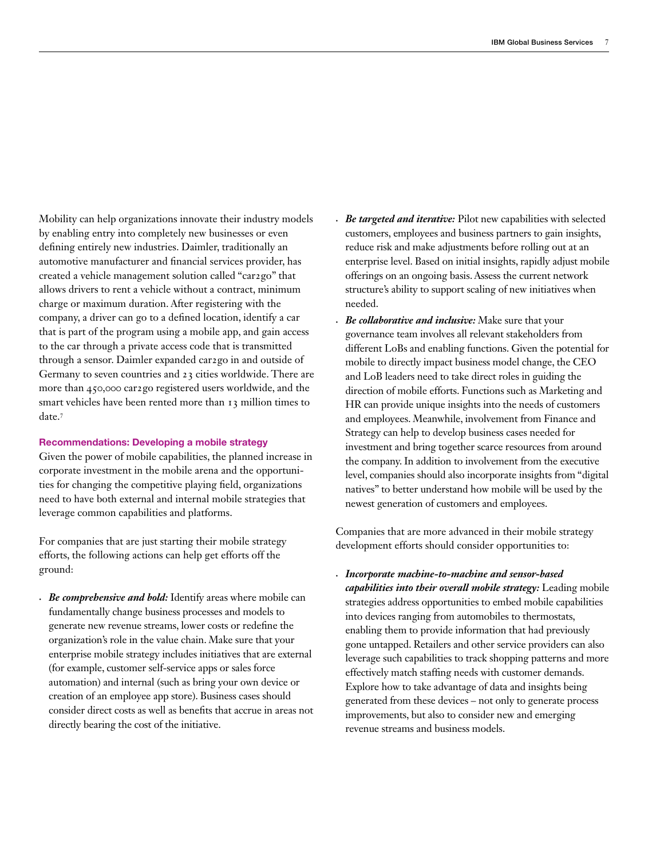Mobility can help organizations innovate their industry models by enabling entry into completely new businesses or even defining entirely new industries. Daimler, traditionally an automotive manufacturer and financial services provider, has created a vehicle management solution called "car2go" that allows drivers to rent a vehicle without a contract, minimum charge or maximum duration. After registering with the company, a driver can go to a defined location, identify a car that is part of the program using a mobile app, and gain access to the car through a private access code that is transmitted through a sensor. Daimler expanded car2go in and outside of Germany to seven countries and 23 cities worldwide. There are more than 450,000 car2go registered users worldwide, and the smart vehicles have been rented more than 13 million times to date.<sup>7</sup>

## Recommendations: Developing a mobile strategy

Given the power of mobile capabilities, the planned increase in corporate investment in the mobile arena and the opportunities for changing the competitive playing field, organizations need to have both external and internal mobile strategies that leverage common capabilities and platforms.

For companies that are just starting their mobile strategy efforts, the following actions can help get efforts off the ground:

*• Be comprehensive and bold:* Identify areas where mobile can fundamentally change business processes and models to generate new revenue streams, lower costs or redefine the organization's role in the value chain. Make sure that your enterprise mobile strategy includes initiatives that are external (for example, customer self-service apps or sales force automation) and internal (such as bring your own device or creation of an employee app store). Business cases should consider direct costs as well as benefits that accrue in areas not directly bearing the cost of the initiative.

- *• Be targeted and iterative:* Pilot new capabilities with selected customers, employees and business partners to gain insights, reduce risk and make adjustments before rolling out at an enterprise level. Based on initial insights, rapidly adjust mobile offerings on an ongoing basis. Assess the current network structure's ability to support scaling of new initiatives when needed.
- *Be collaborative and inclusive:* Make sure that your governance team involves all relevant stakeholders from different LoBs and enabling functions. Given the potential for mobile to directly impact business model change, the CEO and LoB leaders need to take direct roles in guiding the direction of mobile efforts. Functions such as Marketing and HR can provide unique insights into the needs of customers and employees. Meanwhile, involvement from Finance and Strategy can help to develop business cases needed for investment and bring together scarce resources from around the company. In addition to involvement from the executive level, companies should also incorporate insights from "digital natives" to better understand how mobile will be used by the newest generation of customers and employees.

Companies that are more advanced in their mobile strategy development efforts should consider opportunities to:

*• Incorporate machine-to-machine and sensor-based capabilities into their overall mobile strategy:* Leading mobile strategies address opportunities to embed mobile capabilities into devices ranging from automobiles to thermostats, enabling them to provide information that had previously gone untapped. Retailers and other service providers can also leverage such capabilities to track shopping patterns and more effectively match staffing needs with customer demands. Explore how to take advantage of data and insights being generated from these devices – not only to generate process improvements, but also to consider new and emerging revenue streams and business models.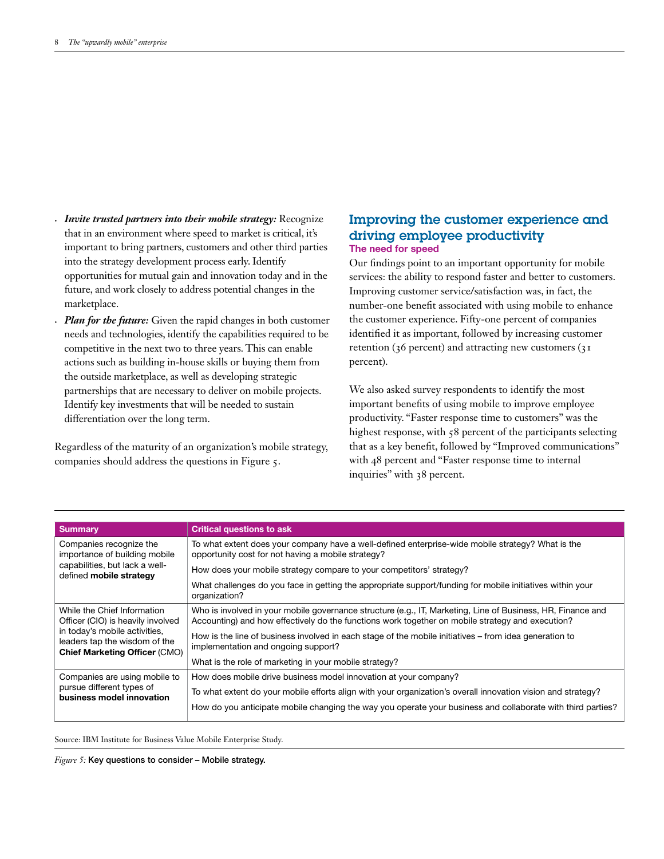- *• Invite trusted partners into their mobile strategy:* Recognize that in an environment where speed to market is critical, it's important to bring partners, customers and other third parties into the strategy development process early. Identify opportunities for mutual gain and innovation today and in the future, and work closely to address potential changes in the marketplace.
- *Plan for the future:* Given the rapid changes in both customer needs and technologies, identify the capabilities required to be competitive in the next two to three years. This can enable actions such as building in-house skills or buying them from the outside marketplace, as well as developing strategic partnerships that are necessary to deliver on mobile projects. Identify key investments that will be needed to sustain differentiation over the long term.

Regardless of the maturity of an organization's mobile strategy, companies should address the questions in Figure 5.

# Improving the customer experience and driving employee productivity The need for speed

Our findings point to an important opportunity for mobile services: the ability to respond faster and better to customers. Improving customer service/satisfaction was, in fact, the number-one benefit associated with using mobile to enhance the customer experience. Fifty-one percent of companies identified it as important, followed by increasing customer retention (36 percent) and attracting new customers (31 percent).

We also asked survey respondents to identify the most important benefits of using mobile to improve employee productivity. "Faster response time to customers" was the highest response, with  $58$  percent of the participants selecting that as a key benefit, followed by "Improved communications" with 48 percent and "Faster response time to internal inquiries" with 38 percent.

| <b>Summary</b>                                                                                         | <b>Critical questions to ask</b>                                                                                                                                                                                |
|--------------------------------------------------------------------------------------------------------|-----------------------------------------------------------------------------------------------------------------------------------------------------------------------------------------------------------------|
|                                                                                                        |                                                                                                                                                                                                                 |
| Companies recognize the<br>importance of building mobile                                               | To what extent does your company have a well-defined enterprise-wide mobile strategy? What is the<br>opportunity cost for not having a mobile strategy?                                                         |
| capabilities, but lack a well-<br>defined mobile strategy                                              | How does your mobile strategy compare to your competitors' strategy?                                                                                                                                            |
|                                                                                                        | What challenges do you face in getting the appropriate support/funding for mobile initiatives within your<br>organization?                                                                                      |
| While the Chief Information<br>Officer (CIO) is heavily involved                                       | Who is involved in your mobile governance structure (e.g., IT, Marketing, Line of Business, HR, Finance and<br>Accounting) and how effectively do the functions work together on mobile strategy and execution? |
| in today's mobile activities,<br>leaders tap the wisdom of the<br><b>Chief Marketing Officer (CMO)</b> | How is the line of business involved in each stage of the mobile initiatives – from idea generation to<br>implementation and ongoing support?                                                                   |
|                                                                                                        | What is the role of marketing in your mobile strategy?                                                                                                                                                          |
| Companies are using mobile to                                                                          | How does mobile drive business model innovation at your company?                                                                                                                                                |
| pursue different types of<br>business model innovation                                                 | To what extent do your mobile efforts align with your organization's overall innovation vision and strategy?                                                                                                    |
|                                                                                                        | How do you anticipate mobile changing the way you operate your business and collaborate with third parties?                                                                                                     |

Source: IBM Institute for Business Value Mobile Enterprise Study.

*Figure 5:* Key questions to consider – Mobile strategy.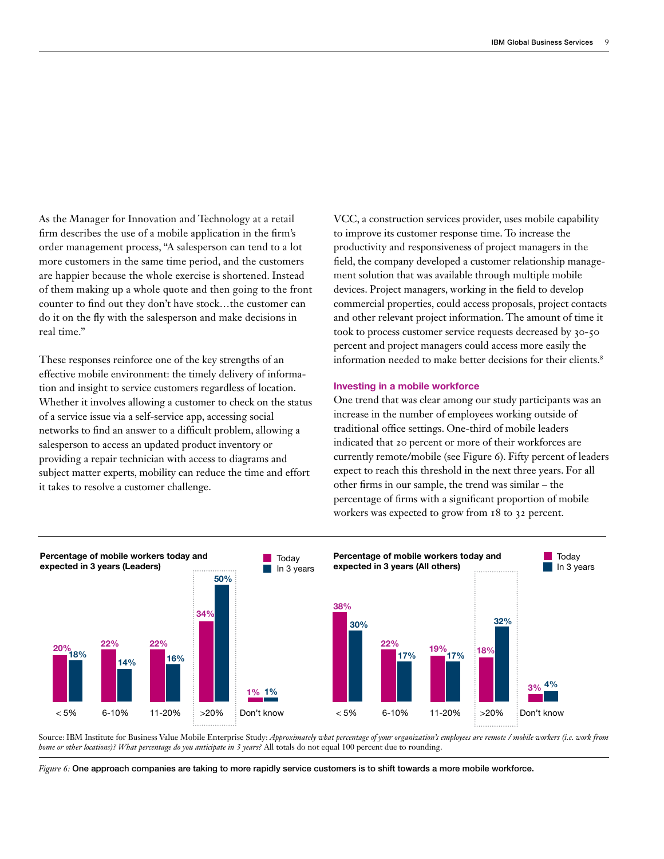As the Manager for Innovation and Technology at a retail firm describes the use of a mobile application in the firm's order management process, "A salesperson can tend to a lot more customers in the same time period, and the customers are happier because the whole exercise is shortened. Instead of them making up a whole quote and then going to the front counter to find out they don't have stock…the customer can do it on the fly with the salesperson and make decisions in real time."

These responses reinforce one of the key strengths of an effective mobile environment: the timely delivery of information and insight to service customers regardless of location. Whether it involves allowing a customer to check on the status of a service issue via a self-service app, accessing social networks to find an answer to a difficult problem, allowing a salesperson to access an updated product inventory or providing a repair technician with access to diagrams and subject matter experts, mobility can reduce the time and effort it takes to resolve a customer challenge.

VCC, a construction services provider, uses mobile capability to improve its customer response time. To increase the productivity and responsiveness of project managers in the field, the company developed a customer relationship management solution that was available through multiple mobile devices. Project managers, working in the field to develop commercial properties, could access proposals, project contacts and other relevant project information. The amount of time it took to process customer service requests decreased by 30-50 percent and project managers could access more easily the information needed to make better decisions for their clients.<sup>8</sup>

### Investing in a mobile workforce

One trend that was clear among our study participants was an increase in the number of employees working outside of traditional office settings. One-third of mobile leaders indicated that 20 percent or more of their workforces are currently remote/mobile (see Figure 6). Fifty percent of leaders expect to reach this threshold in the next three years. For all other firms in our sample, the trend was similar – the percentage of firms with a significant proportion of mobile workers was expected to grow from 18 to 32 percent.



Source: IBM Institute for Business Value Mobile Enterprise Study: *Approximately what percentage of your organization's employees are remote / mobile workers (i.e. work from home or other locations)? What percentage do you anticipate in 3 years?* All totals do not equal 100 percent due to rounding.

*Figure 6:* One approach companies are taking to more rapidly service customers is to shift towards a more mobile workforce.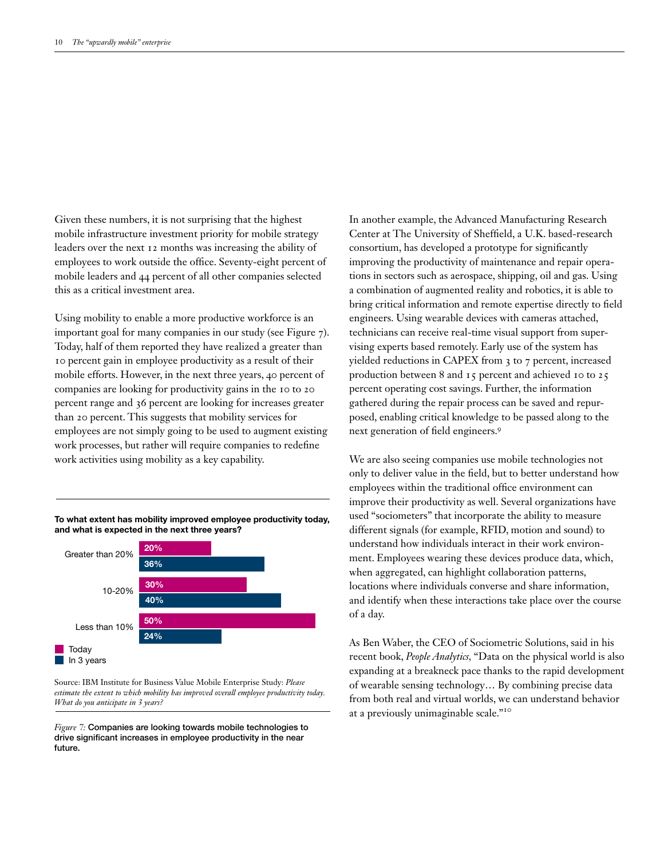Given these numbers, it is not surprising that the highest mobile infrastructure investment priority for mobile strategy leaders over the next 12 months was increasing the ability of employees to work outside the office. Seventy-eight percent of mobile leaders and 44 percent of all other companies selected this as a critical investment area.

Using mobility to enable a more productive workforce is an important goal for many companies in our study (see Figure 7). Today, half of them reported they have realized a greater than 10 percent gain in employee productivity as a result of their mobile efforts. However, in the next three years, 40 percent of companies are looking for productivity gains in the 10 to 20 percent range and 36 percent are looking for increases greater than 20 percent. This suggests that mobility services for employees are not simply going to be used to augment existing work processes, but rather will require companies to redefine work activities using mobility as a key capability.

To what extent has mobility improved employee productivity today, and what is expected in the next three years?



Source: IBM Institute for Business Value Mobile Enterprise Study: *Please estimate the extent to which mobility has improved overall employee productivity today. What do you anticipate in 3 years?* 

*Figure 7:* Companies are looking towards mobile technologies to drive significant increases in employee productivity in the near future.

In another example, the Advanced Manufacturing Research Center at The University of Sheffield, a U.K. based-research consortium, has developed a prototype for significantly improving the productivity of maintenance and repair operations in sectors such as aerospace, shipping, oil and gas. Using a combination of augmented reality and robotics, it is able to bring critical information and remote expertise directly to field engineers. Using wearable devices with cameras attached, technicians can receive real-time visual support from supervising experts based remotely. Early use of the system has yielded reductions in CAPEX from 3 to 7 percent, increased production between 8 and 15 percent and achieved 10 to 25 percent operating cost savings. Further, the information gathered during the repair process can be saved and repurposed, enabling critical knowledge to be passed along to the next generation of field engineers.<sup>9</sup>

We are also seeing companies use mobile technologies not only to deliver value in the field, but to better understand how employees within the traditional office environment can improve their productivity as well. Several organizations have used "sociometers" that incorporate the ability to measure different signals (for example, RFID, motion and sound) to understand how individuals interact in their work environment. Employees wearing these devices produce data, which, when aggregated, can highlight collaboration patterns, locations where individuals converse and share information, and identify when these interactions take place over the course of a day.

As Ben Waber, the CEO of Sociometric Solutions, said in his recent book, *People Analytics,* "Data on the physical world is also expanding at a breakneck pace thanks to the rapid development of wearable sensing technology… By combining precise data from both real and virtual worlds, we can understand behavior at a previously unimaginable scale."<sup>10</sup>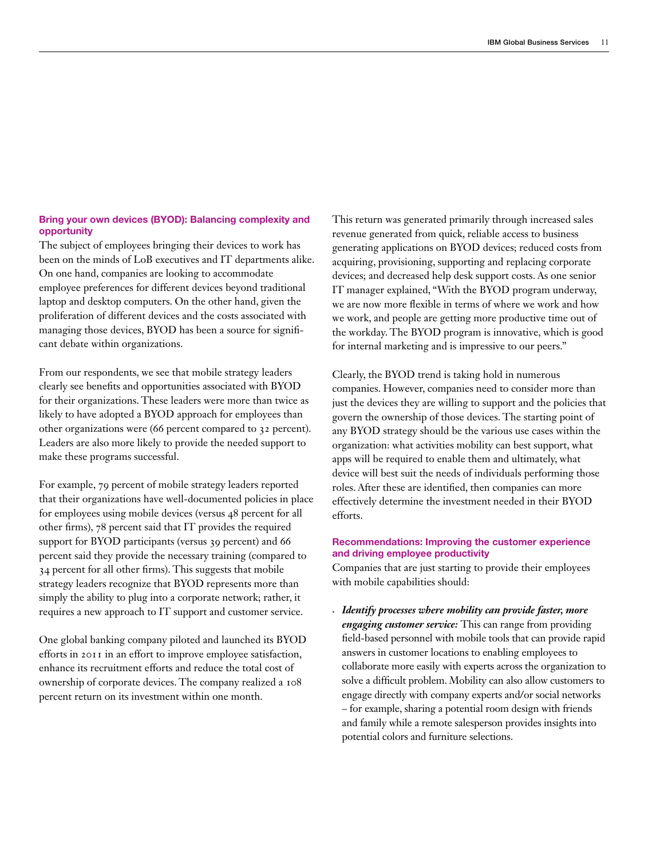## Bring your own devices (BYOD): Balancing complexity and opportunity

The subject of employees bringing their devices to work has been on the minds of LoB executives and IT departments alike. On one hand, companies are looking to accommodate employee preferences for different devices beyond traditional laptop and desktop computers. On the other hand, given the proliferation of different devices and the costs associated with managing those devices, BYOD has been a source for significant debate within organizations.

From our respondents, we see that mobile strategy leaders clearly see benefits and opportunities associated with BYOD for their organizations. These leaders were more than twice as likely to have adopted a BYOD approach for employees than other organizations were (66 percent compared to 32 percent). Leaders are also more likely to provide the needed support to make these programs successful.

For example, 79 percent of mobile strategy leaders reported that their organizations have well-documented policies in place for employees using mobile devices (versus 48 percent for all other firms), 78 percent said that IT provides the required support for BYOD participants (versus 39 percent) and 66 percent said they provide the necessary training (compared to 34 percent for all other firms). This suggests that mobile strategy leaders recognize that BYOD represents more than simply the ability to plug into a corporate network; rather, it requires a new approach to IT support and customer service.

One global banking company piloted and launched its BYOD efforts in 2011 in an effort to improve employee satisfaction, enhance its recruitment efforts and reduce the total cost of ownership of corporate devices. The company realized a 108 percent return on its investment within one month.

This return was generated primarily through increased sales revenue generated from quick, reliable access to business generating applications on BYOD devices; reduced costs from acquiring, provisioning, supporting and replacing corporate devices; and decreased help desk support costs. As one senior IT manager explained, "With the BYOD program underway, we are now more flexible in terms of where we work and how we work, and people are getting more productive time out of the workday. The BYOD program is innovative, which is good for internal marketing and is impressive to our peers."

Clearly, the BYOD trend is taking hold in numerous companies. However, companies need to consider more than just the devices they are willing to support and the policies that govern the ownership of those devices. The starting point of any BYOD strategy should be the various use cases within the organization: what activities mobility can best support, what apps will be required to enable them and ultimately, what device will best suit the needs of individuals performing those roles. After these are identified, then companies can more effectively determine the investment needed in their BYOD efforts.

## Recommendations: Improving the customer experience and driving employee productivity

Companies that are just starting to provide their employees with mobile capabilities should:

*• Identify processes where mobility can provide faster, more engaging customer service:* This can range from providing field-based personnel with mobile tools that can provide rapid answers in customer locations to enabling employees to collaborate more easily with experts across the organization to solve a difficult problem. Mobility can also allow customers to engage directly with company experts and/or social networks – for example, sharing a potential room design with friends and family while a remote salesperson provides insights into potential colors and furniture selections.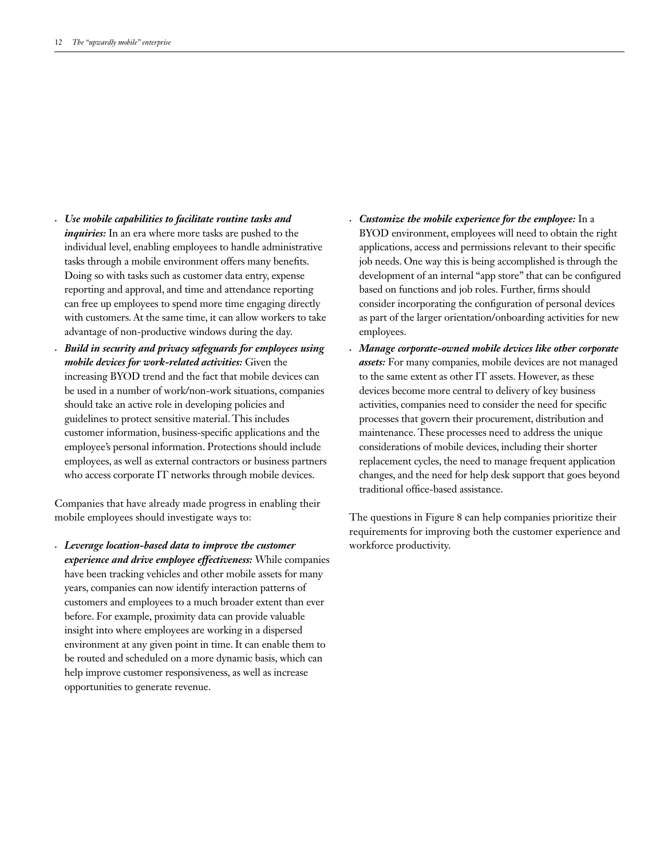- *• Use mobile capabilities to facilitate routine tasks and inquiries:* In an era where more tasks are pushed to the individual level, enabling employees to handle administrative tasks through a mobile environment offers many benefits. Doing so with tasks such as customer data entry, expense reporting and approval, and time and attendance reporting can free up employees to spend more time engaging directly with customers. At the same time, it can allow workers to take advantage of non-productive windows during the day.
- *• Build in security and privacy safeguards for employees using mobile devices for work-related activities:* Given the increasing BYOD trend and the fact that mobile devices can be used in a number of work/non-work situations, companies should take an active role in developing policies and guidelines to protect sensitive material. This includes customer information, business-specific applications and the employee's personal information. Protections should include employees, as well as external contractors or business partners who access corporate IT networks through mobile devices.

Companies that have already made progress in enabling their mobile employees should investigate ways to:

*• Leverage location-based data to improve the customer experience and drive employee effectiveness:* While companies have been tracking vehicles and other mobile assets for many years, companies can now identify interaction patterns of customers and employees to a much broader extent than ever before. For example, proximity data can provide valuable insight into where employees are working in a dispersed environment at any given point in time. It can enable them to be routed and scheduled on a more dynamic basis, which can help improve customer responsiveness, as well as increase opportunities to generate revenue.

- *• Customize the mobile experience for the employee:* In a BYOD environment, employees will need to obtain the right applications, access and permissions relevant to their specific job needs. One way this is being accomplished is through the development of an internal "app store" that can be configured based on functions and job roles. Further, firms should consider incorporating the configuration of personal devices as part of the larger orientation/onboarding activities for new employees.
- *• Manage corporate-owned mobile devices like other corporate assets:* For many companies, mobile devices are not managed to the same extent as other IT assets. However, as these devices become more central to delivery of key business activities, companies need to consider the need for specific processes that govern their procurement, distribution and maintenance. These processes need to address the unique considerations of mobile devices, including their shorter replacement cycles, the need to manage frequent application changes, and the need for help desk support that goes beyond traditional office-based assistance.

The questions in Figure 8 can help companies prioritize their requirements for improving both the customer experience and workforce productivity.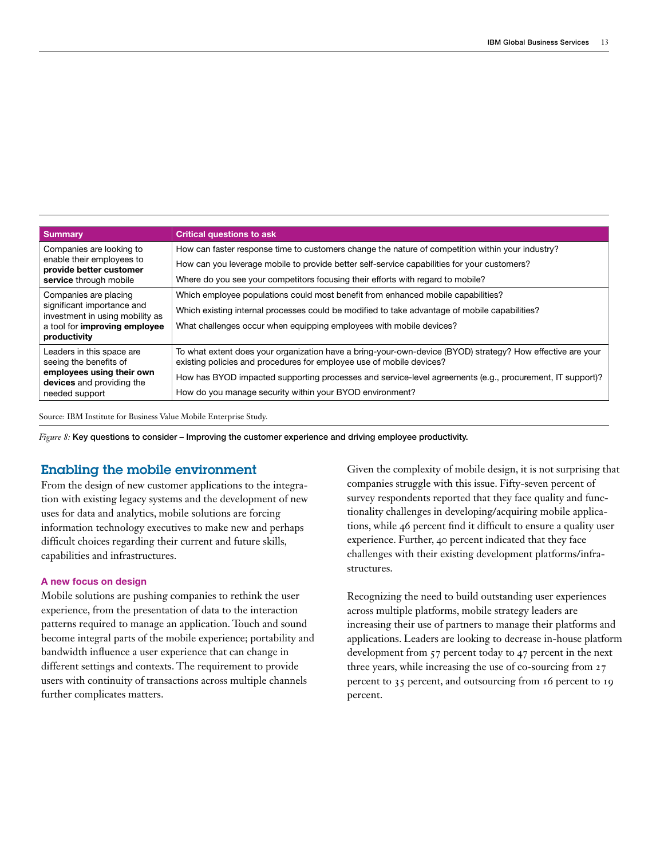| <b>Summary</b>                                                                 | <b>Critical questions to ask</b>                                                                                                                                                   |
|--------------------------------------------------------------------------------|------------------------------------------------------------------------------------------------------------------------------------------------------------------------------------|
| Companies are looking to                                                       | How can faster response time to customers change the nature of competition within your industry?                                                                                   |
| enable their employees to<br>provide better customer<br>service through mobile | How can you leverage mobile to provide better self-service capabilities for your customers?                                                                                        |
|                                                                                | Where do you see your competitors focusing their efforts with regard to mobile?                                                                                                    |
| Companies are placing                                                          | Which employee populations could most benefit from enhanced mobile capabilities?                                                                                                   |
| significant importance and<br>investment in using mobility as                  | Which existing internal processes could be modified to take advantage of mobile capabilities?                                                                                      |
| a tool for improving employee<br>productivity                                  | What challenges occur when equipping employees with mobile devices?                                                                                                                |
| Leaders in this space are<br>seeing the benefits of                            | To what extent does your organization have a bring-your-own-device (BYOD) strategy? How effective are your<br>existing policies and procedures for employee use of mobile devices? |
| employees using their own<br>devices and providing the                         | How has BYOD impacted supporting processes and service-level agreements (e.g., procurement, IT support)?                                                                           |
| needed support                                                                 | How do you manage security within your BYOD environment?                                                                                                                           |

Source: IBM Institute for Business Value Mobile Enterprise Study.

*Figure 8:* Key questions to consider – Improving the customer experience and driving employee productivity.

# Enabling the mobile environment

From the design of new customer applications to the integration with existing legacy systems and the development of new uses for data and analytics, mobile solutions are forcing information technology executives to make new and perhaps difficult choices regarding their current and future skills, capabilities and infrastructures.

## A new focus on design

Mobile solutions are pushing companies to rethink the user experience, from the presentation of data to the interaction patterns required to manage an application. Touch and sound become integral parts of the mobile experience; portability and bandwidth influence a user experience that can change in different settings and contexts. The requirement to provide users with continuity of transactions across multiple channels further complicates matters.

Given the complexity of mobile design, it is not surprising that companies struggle with this issue. Fifty-seven percent of survey respondents reported that they face quality and functionality challenges in developing/acquiring mobile applications, while 46 percent find it difficult to ensure a quality user experience. Further, 40 percent indicated that they face challenges with their existing development platforms/infrastructures.

Recognizing the need to build outstanding user experiences across multiple platforms, mobile strategy leaders are increasing their use of partners to manage their platforms and applications. Leaders are looking to decrease in-house platform development from 57 percent today to 47 percent in the next three years, while increasing the use of co-sourcing from 27 percent to 35 percent, and outsourcing from 16 percent to 19 percent.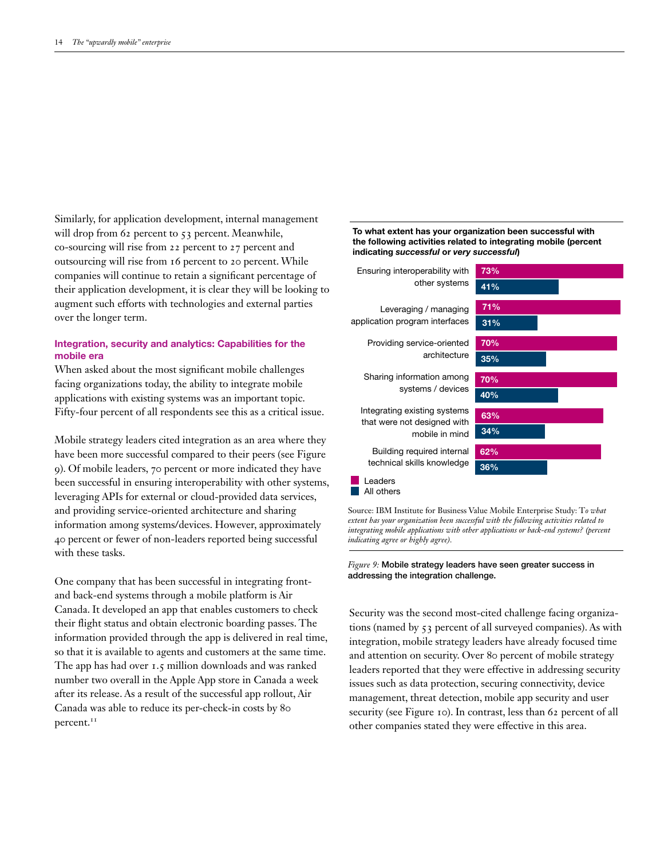Similarly, for application development, internal management will drop from 62 percent to 53 percent. Meanwhile, co-sourcing will rise from 22 percent to 27 percent and outsourcing will rise from 16 percent to 20 percent. While companies will continue to retain a significant percentage of their application development, it is clear they will be looking to augment such efforts with technologies and external parties over the longer term.

## Integration, security and analytics: Capabilities for the mobile era

When asked about the most significant mobile challenges facing organizations today, the ability to integrate mobile applications with existing systems was an important topic. Fifty-four percent of all respondents see this as a critical issue.

Mobile strategy leaders cited integration as an area where they have been more successful compared to their peers (see Figure 9). Of mobile leaders, 70 percent or more indicated they have been successful in ensuring interoperability with other systems, leveraging APIs for external or cloud-provided data services, and providing service-oriented architecture and sharing information among systems/devices. However, approximately 40 percent or fewer of non-leaders reported being successful with these tasks.

One company that has been successful in integrating frontand back-end systems through a mobile platform is Air Canada. It developed an app that enables customers to check their flight status and obtain electronic boarding passes. The information provided through the app is delivered in real time, so that it is available to agents and customers at the same time. The app has had over 1.5 million downloads and was ranked number two overall in the Apple App store in Canada a week after its release. As a result of the successful app rollout, Air Canada was able to reduce its per-check-in costs by 80 percent.<sup>11</sup>

To what extent has your organization been successful with the following activities related to integrating mobile (percent indicating *successful* or *very successful*)



Source: IBM Institute for Business Value Mobile Enterprise Study: T*o what extent has your organization been successful with the following activities related to integrating mobile applications with other applications or back-end systems? (percent indicating agree or highly agree).*

*Figure 9:* Mobile strategy leaders have seen greater success in addressing the integration challenge.

Security was the second most-cited challenge facing organizations (named by 53 percent of all surveyed companies). As with integration, mobile strategy leaders have already focused time and attention on security. Over 80 percent of mobile strategy leaders reported that they were effective in addressing security issues such as data protection, securing connectivity, device management, threat detection, mobile app security and user security (see Figure 10). In contrast, less than 62 percent of all other companies stated they were effective in this area.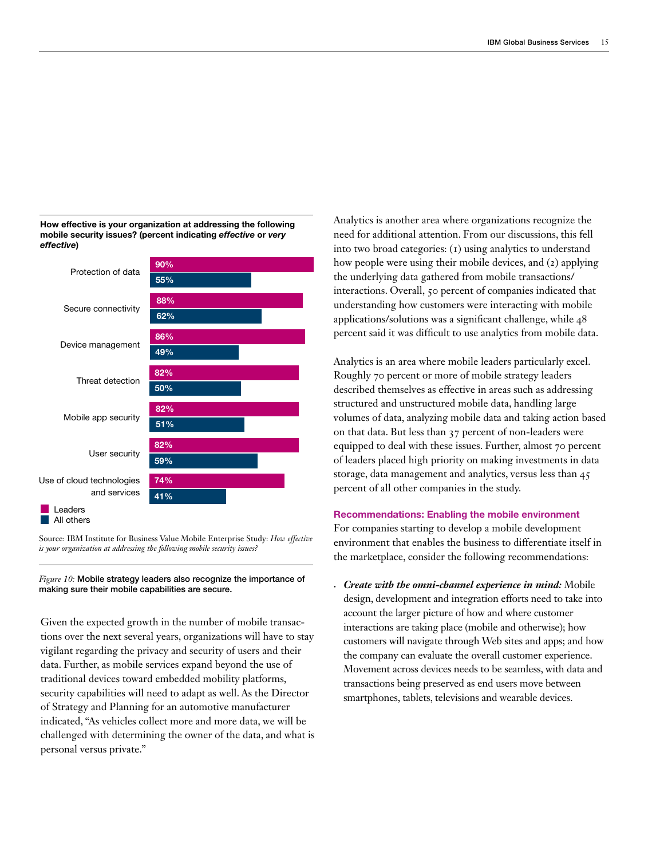#### How effective is your organization at addressing the following mobile security issues? (percent indicating *effective* or *very effective*)



Source: IBM Institute for Business Value Mobile Enterprise Study: *How effective is your organization at addressing the following mobile security issues?*

### *Figure 10:* Mobile strategy leaders also recognize the importance of making sure their mobile capabilities are secure.

Given the expected growth in the number of mobile transactions over the next several years, organizations will have to stay vigilant regarding the privacy and security of users and their data. Further, as mobile services expand beyond the use of traditional devices toward embedded mobility platforms, security capabilities will need to adapt as well. As the Director of Strategy and Planning for an automotive manufacturer indicated, "As vehicles collect more and more data, we will be challenged with determining the owner of the data, and what is personal versus private."

Analytics is another area where organizations recognize the need for additional attention. From our discussions, this fell into two broad categories: (1) using analytics to understand how people were using their mobile devices, and (2) applying the underlying data gathered from mobile transactions/ interactions. Overall, 50 percent of companies indicated that understanding how customers were interacting with mobile applications/solutions was a significant challenge, while 48 percent said it was difficult to use analytics from mobile data.

Analytics is an area where mobile leaders particularly excel. Roughly 70 percent or more of mobile strategy leaders described themselves as effective in areas such as addressing structured and unstructured mobile data, handling large volumes of data, analyzing mobile data and taking action based on that data. But less than 37 percent of non-leaders were equipped to deal with these issues. Further, almost 70 percent of leaders placed high priority on making investments in data storage, data management and analytics, versus less than 45 percent of all other companies in the study.

# Recommendations: Enabling the mobile environment

For companies starting to develop a mobile development environment that enables the business to differentiate itself in the marketplace, consider the following recommendations:

*• Create with the omni-channel experience in mind:* Mobile design, development and integration efforts need to take into account the larger picture of how and where customer interactions are taking place (mobile and otherwise); how customers will navigate through Web sites and apps; and how the company can evaluate the overall customer experience. Movement across devices needs to be seamless, with data and transactions being preserved as end users move between smartphones, tablets, televisions and wearable devices.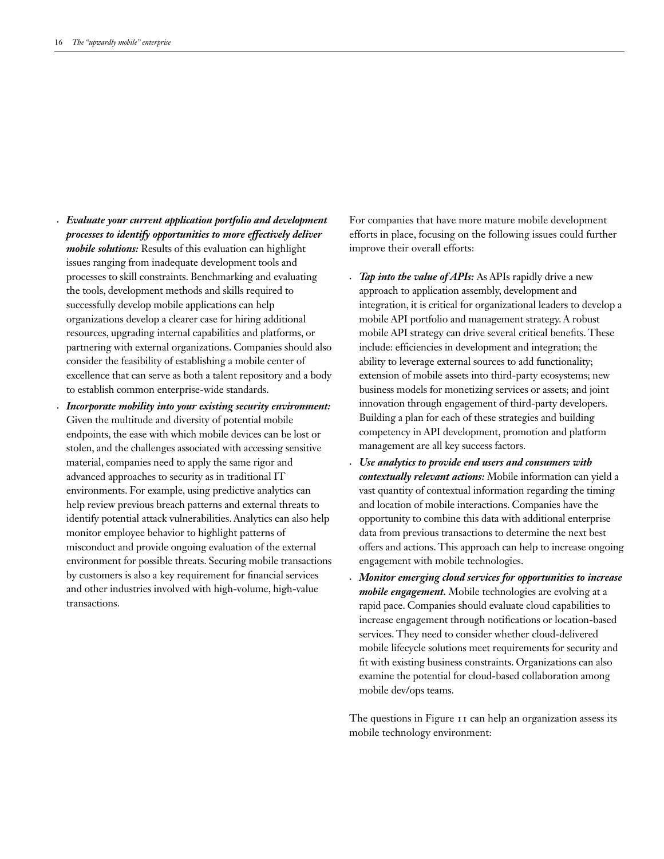*• Evaluate your current application portfolio and development processes to identify opportunities to more effectively deliver mobile solutions:* Results of this evaluation can highlight issues ranging from inadequate development tools and processes to skill constraints. Benchmarking and evaluating the tools, development methods and skills required to successfully develop mobile applications can help organizations develop a clearer case for hiring additional resources, upgrading internal capabilities and platforms, or partnering with external organizations. Companies should also consider the feasibility of establishing a mobile center of excellence that can serve as both a talent repository and a body to establish common enterprise-wide standards.

*• Incorporate mobility into your existing security environment:* Given the multitude and diversity of potential mobile endpoints, the ease with which mobile devices can be lost or stolen, and the challenges associated with accessing sensitive material, companies need to apply the same rigor and advanced approaches to security as in traditional IT environments. For example, using predictive analytics can help review previous breach patterns and external threats to identify potential attack vulnerabilities. Analytics can also help monitor employee behavior to highlight patterns of misconduct and provide ongoing evaluation of the external environment for possible threats. Securing mobile transactions by customers is also a key requirement for financial services and other industries involved with high-volume, high-value transactions.

For companies that have more mature mobile development efforts in place, focusing on the following issues could further improve their overall efforts:

- *Tap into the value of APIs:* As APIs rapidly drive a new approach to application assembly, development and integration, it is critical for organizational leaders to develop a mobile API portfolio and management strategy. A robust mobile API strategy can drive several critical benefits. These include: efficiencies in development and integration; the ability to leverage external sources to add functionality; extension of mobile assets into third-party ecosystems; new business models for monetizing services or assets; and joint innovation through engagement of third-party developers. Building a plan for each of these strategies and building competency in API development, promotion and platform management are all key success factors.
- *• Use analytics to provide end users and consumers with contextually relevant actions:* Mobile information can yield a vast quantity of contextual information regarding the timing and location of mobile interactions. Companies have the opportunity to combine this data with additional enterprise data from previous transactions to determine the next best offers and actions. This approach can help to increase ongoing engagement with mobile technologies.
- *• Monitor emerging cloud services for opportunities to increase mobile engagement.* Mobile technologies are evolving at a rapid pace. Companies should evaluate cloud capabilities to increase engagement through notifications or location-based services. They need to consider whether cloud-delivered mobile lifecycle solutions meet requirements for security and fit with existing business constraints. Organizations can also examine the potential for cloud-based collaboration among mobile dev/ops teams.

The questions in Figure 11 can help an organization assess its mobile technology environment: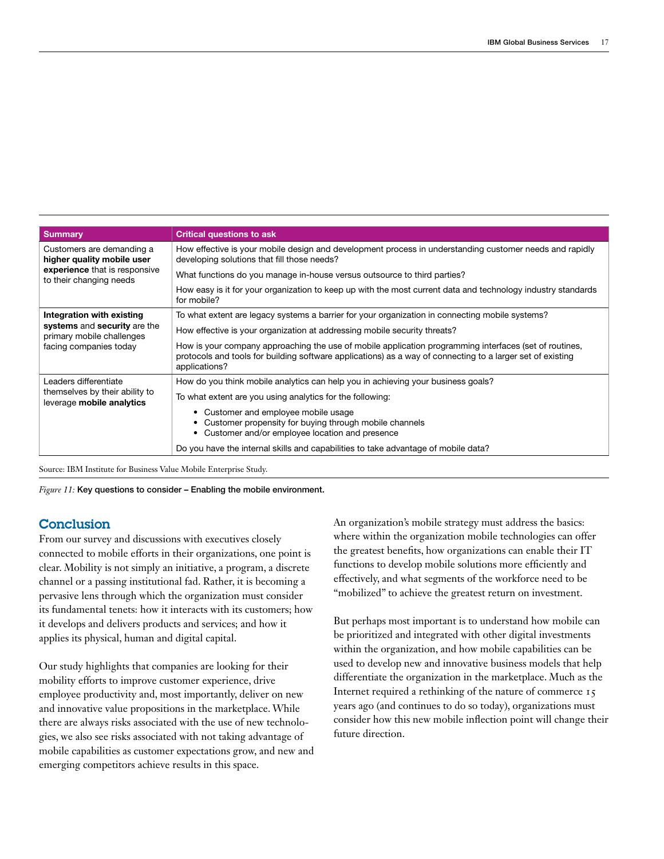| <b>Summary</b>                                              | <b>Critical questions to ask</b>                                                                                                                                                                                                      |  |  |
|-------------------------------------------------------------|---------------------------------------------------------------------------------------------------------------------------------------------------------------------------------------------------------------------------------------|--|--|
| Customers are demanding a<br>higher quality mobile user     | How effective is your mobile design and development process in understanding customer needs and rapidly<br>developing solutions that fill those needs?                                                                                |  |  |
| experience that is responsive<br>to their changing needs    | What functions do you manage in-house versus outsource to third parties?                                                                                                                                                              |  |  |
|                                                             | How easy is it for your organization to keep up with the most current data and technology industry standards<br>for mobile?                                                                                                           |  |  |
| Integration with existing                                   | To what extent are legacy systems a barrier for your organization in connecting mobile systems?                                                                                                                                       |  |  |
| systems and security are the<br>primary mobile challenges   | How effective is your organization at addressing mobile security threats?                                                                                                                                                             |  |  |
| facing companies today                                      | How is your company approaching the use of mobile application programming interfaces (set of routines,<br>protocols and tools for building software applications) as a way of connecting to a larger set of existing<br>applications? |  |  |
| Leaders differentiate                                       | How do you think mobile analytics can help you in achieving your business goals?                                                                                                                                                      |  |  |
| themselves by their ability to<br>leverage mobile analytics | To what extent are you using analytics for the following:                                                                                                                                                                             |  |  |
|                                                             | • Customer and employee mobile usage<br>• Customer propensity for buying through mobile channels<br>• Customer and/or employee location and presence                                                                                  |  |  |
|                                                             | Do you have the internal skills and capabilities to take advantage of mobile data?                                                                                                                                                    |  |  |

Source: IBM Institute for Business Value Mobile Enterprise Study.

*Figure 11:* Key questions to consider – Enabling the mobile environment.

# **Conclusion**

From our survey and discussions with executives closely connected to mobile efforts in their organizations, one point is clear. Mobility is not simply an initiative, a program, a discrete channel or a passing institutional fad. Rather, it is becoming a pervasive lens through which the organization must consider its fundamental tenets: how it interacts with its customers; how it develops and delivers products and services; and how it applies its physical, human and digital capital.

Our study highlights that companies are looking for their mobility efforts to improve customer experience, drive employee productivity and, most importantly, deliver on new and innovative value propositions in the marketplace. While there are always risks associated with the use of new technologies, we also see risks associated with not taking advantage of mobile capabilities as customer expectations grow, and new and emerging competitors achieve results in this space.

An organization's mobile strategy must address the basics: where within the organization mobile technologies can offer the greatest benefits, how organizations can enable their IT functions to develop mobile solutions more efficiently and effectively, and what segments of the workforce need to be "mobilized" to achieve the greatest return on investment.

But perhaps most important is to understand how mobile can be prioritized and integrated with other digital investments within the organization, and how mobile capabilities can be used to develop new and innovative business models that help differentiate the organization in the marketplace. Much as the Internet required a rethinking of the nature of commerce 15 years ago (and continues to do so today), organizations must consider how this new mobile inflection point will change their future direction.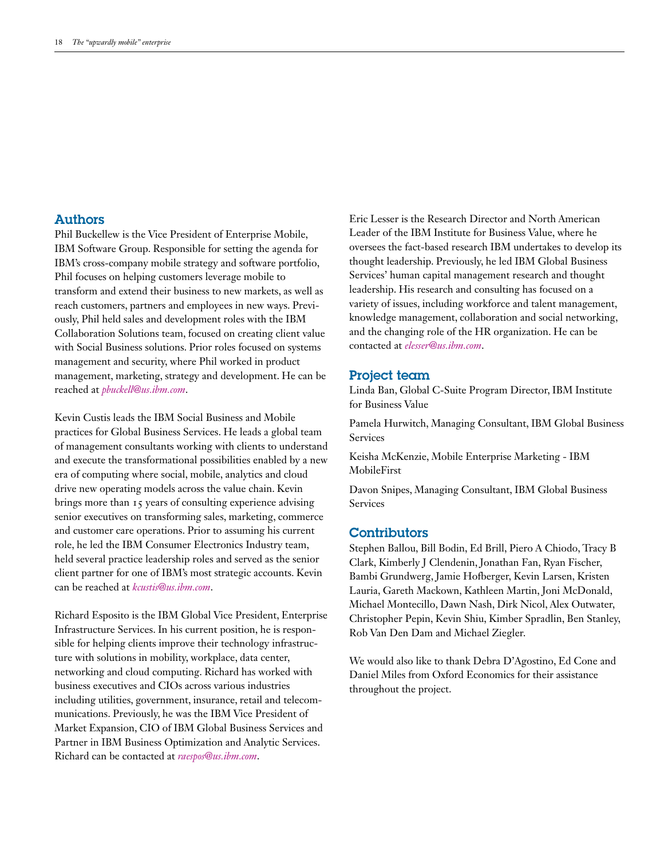# Authors

Phil Buckellew is the Vice President of Enterprise Mobile, IBM Software Group. Responsible for setting the agenda for IBM's cross-company mobile strategy and software portfolio, Phil focuses on helping customers leverage mobile to transform and extend their business to new markets, as well as reach customers, partners and employees in new ways. Previously, Phil held sales and development roles with the IBM Collaboration Solutions team, focused on creating client value with Social Business solutions. Prior roles focused on systems management and security, where Phil worked in product management, marketing, strategy and development. He can be reached at *[pbuckell@us.ibm.com](mailto:pbuckell@us.ibm.com)*.

Kevin Custis leads the IBM Social Business and Mobile practices for Global Business Services. He leads a global team of management consultants working with clients to understand and execute the transformational possibilities enabled by a new era of computing where social, mobile, analytics and cloud drive new operating models across the value chain. Kevin brings more than 15 years of consulting experience advising senior executives on transforming sales, marketing, commerce and customer care operations. Prior to assuming his current role, he led the IBM Consumer Electronics Industry team, held several practice leadership roles and served as the senior client partner for one of IBM's most strategic accounts. Kevin can be reached at *[kcustis@us.ibm.com](mailto:kcustis@us.ibm.com)*.

Richard Esposito is the IBM Global Vice President, Enterprise Infrastructure Services. In his current position, he is responsible for helping clients improve their technology infrastructure with solutions in mobility, workplace, data center, networking and cloud computing. Richard has worked with business executives and CIOs across various industries including utilities, government, insurance, retail and telecommunications. Previously, he was the IBM Vice President of Market Expansion, CIO of IBM Global Business Services and Partner in IBM Business Optimization and Analytic Services. Richard can be contacted at *[raespos@us.ibm.com](mailto:raespos@us.ibm.com)*.

Eric Lesser is the Research Director and North American Leader of the IBM Institute for Business Value, where he oversees the fact-based research IBM undertakes to develop its thought leadership. Previously, he led IBM Global Business Services' human capital management research and thought leadership. His research and consulting has focused on a variety of issues, including workforce and talent management, knowledge management, collaboration and social networking, and the changing role of the HR organization. He can be contacted at *[elesser@us.ibm.com](mailto:elesser@us.ibm.com)*.

# Project team

Linda Ban, Global C-Suite Program Director, IBM Institute for Business Value

Pamela Hurwitch, Managing Consultant, IBM Global Business Services

Keisha McKenzie, Mobile Enterprise Marketing - IBM MobileFirst

Davon Snipes, Managing Consultant, IBM Global Business Services

## **Contributors**

Stephen Ballou, Bill Bodin, Ed Brill, Piero A Chiodo, Tracy B Clark, Kimberly J Clendenin, Jonathan Fan, Ryan Fischer, Bambi Grundwerg, Jamie Hofberger, Kevin Larsen, Kristen Lauria, Gareth Mackown, Kathleen Martin, Joni McDonald, Michael Montecillo, Dawn Nash, Dirk Nicol, Alex Outwater, Christopher Pepin, Kevin Shiu, Kimber Spradlin, Ben Stanley, Rob Van Den Dam and Michael Ziegler.

We would also like to thank Debra D'Agostino, Ed Cone and Daniel Miles from Oxford Economics for their assistance throughout the project.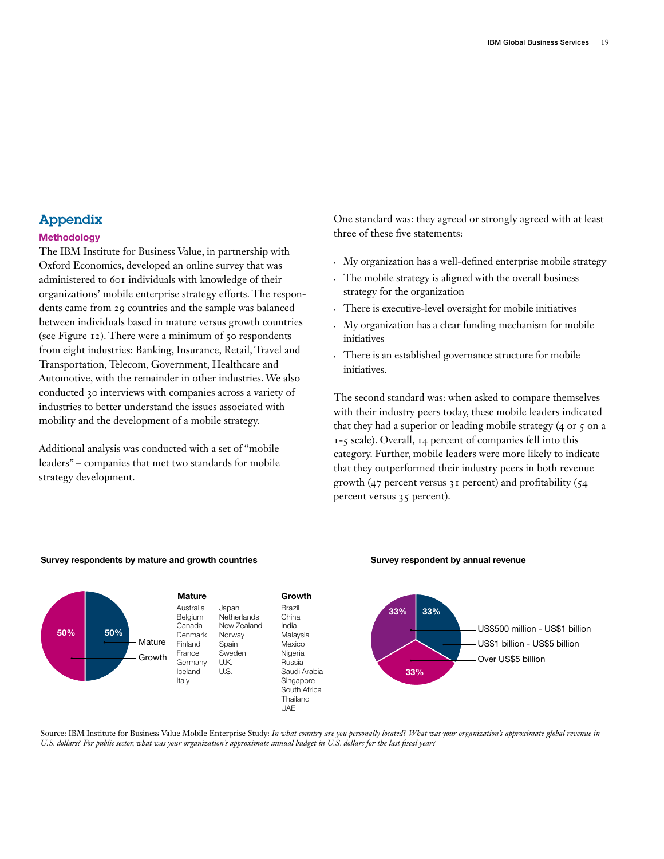# Appendix

## **Methodology**

The IBM Institute for Business Value, in partnership with Oxford Economics, developed an online survey that was administered to 601 individuals with knowledge of their organizations' mobile enterprise strategy efforts. The respondents came from 29 countries and the sample was balanced between individuals based in mature versus growth countries (see Figure 12). There were a minimum of 50 respondents from eight industries: Banking, Insurance, Retail, Travel and Transportation, Telecom, Government, Healthcare and Automotive, with the remainder in other industries. We also conducted 30 interviews with companies across a variety of industries to better understand the issues associated with mobility and the development of a mobile strategy.

Additional analysis was conducted with a set of "mobile leaders" – companies that met two standards for mobile strategy development.

One standard was: they agreed or strongly agreed with at least three of these five statements:

- • My organization has a well-defined enterprise mobile strategy
- • The mobile strategy is aligned with the overall business strategy for the organization
- • There is executive-level oversight for mobile initiatives
- • My organization has a clear funding mechanism for mobile initiatives
- There is an established governance structure for mobile initiatives.

The second standard was: when asked to compare themselves with their industry peers today, these mobile leaders indicated that they had a superior or leading mobile strategy (4 or 5 on a 1-5 scale). Overall, 14 percent of companies fell into this category. Further, mobile leaders were more likely to indicate that they outperformed their industry peers in both revenue growth (47 percent versus 31 percent) and profitability (54 percent versus 35 percent).



#### Survey respondents by mature and growth countries Survey respondent by annual revenue

#### Source: IBM Institute for Business Value Mobile Enterprise Study: *In what country are you personally located? What was your organization's approximate global revenue in U.S. dollars? For public sector, what was your organization's approximate annual budget in U.S. dollars for the last fiscal year?*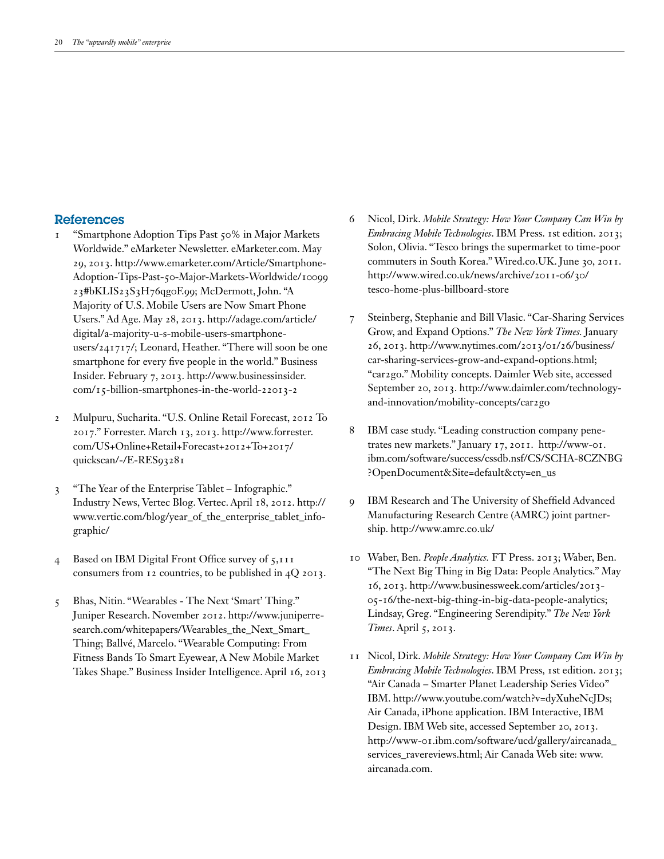# References

- 1 "Smartphone Adoption Tips Past 50% in Major Markets Worldwide." eMarketer Newsletter.<eMarketer.com>. May 29, 2013. http://www.emarketer.com/Article/Smartphone-Adoption-Tips-Past-50-Major-Markets-Worldwide/10099 23#bKLIS23S3H76qg0F.99; McDermott, John. "A Majority of U.S. Mobile Users are Now Smart Phone Users." Ad Age. May 28, 2013. [http://adage.com/article/](http://adage.com/article/digital/a-majority-u-s-mobile-users-smartphone-users/241717/) [digital/a-majority-u-s-mobile-users-smartphone](http://adage.com/article/digital/a-majority-u-s-mobile-users-smartphone-users/241717/)[users/241717/](http://adage.com/article/digital/a-majority-u-s-mobile-users-smartphone-users/241717/); Leonard, Heather. "There will soon be one smartphone for every five people in the world." Business Insider. February 7, 2013. [http://www.businessinsider.](http://www.businessinsider.com/15) [com/15-](http://www.businessinsider.com/15)billion-smartphones-in-the-world-22013-2
- 2 Mulpuru, Sucharita. "U.S. Online Retail Forecast, 2012 To 2017." Forrester. March 13, 2013. [http://www.forrester.](http://www.forrester.com/US+Online+Retail+Forecast+2012+To+2017/quickscan/-/E-RES93281) [com/US+Online+Retail+Forecast+2012+To+2017/](http://www.forrester.com/US+Online+Retail+Forecast+2012+To+2017/quickscan/-/E-RES93281) [quickscan/-/E-RES93281](http://www.forrester.com/US+Online+Retail+Forecast+2012+To+2017/quickscan/-/E-RES93281)
- 3 "The Year of the Enterprise Tablet Infographic." Industry News, Vertec Blog. Vertec. April 18, 2012. [http://](http://www.vertic.com/blog/year_of_the_enterprise_tablet_infographic) [www.vertic.com/blog/year\\_of\\_the\\_enterprise\\_tablet\\_info](http://www.vertic.com/blog/year_of_the_enterprise_tablet_infographic)[graphic](http://www.vertic.com/blog/year_of_the_enterprise_tablet_infographic)/
- 4 Based on IBM Digital Front Office survey of 5,111 consumers from 12 countries, to be published in 4Q 2013.
- 5 Bhas, Nitin. "Wearables The Next 'Smart' Thing." Juniper Research. November 2012. [http://www.juniperre](http://www.juniperresearch.com/whitepapers/Wearables_the_Next_Smart_Thing)[search.com/whitepapers/Wearables\\_the\\_Next\\_Smart\\_](http://www.juniperresearch.com/whitepapers/Wearables_the_Next_Smart_Thing) [Thing;](http://www.juniperresearch.com/whitepapers/Wearables_the_Next_Smart_Thing) Ballvé, Marcelo. "Wearable Computing: From Fitness Bands To Smart Eyewear, A New Mobile Market Takes Shape." Business Insider Intelligence. April 16, 2013
- 6 Nicol, Dirk. *Mobile Strategy: How Your Company Can Win by Embracing Mobile Technologies*. IBM Press. 1st edition. 2013; Solon, Olivia. "Tesco brings the supermarket to time-poor commuters in South Korea."<Wired.co.UK>. June 30, 2011. [http://www.wired.co.uk/news/archive/2011-06/30/](http://www.wired.co.uk/news/archive/2011-06/30/tesco) [tesco-](http://www.wired.co.uk/news/archive/2011-06/30/tesco)home-plus-billboard-store
- 7 Steinberg, Stephanie and Bill Vlasic. "Car-Sharing Services Grow, and Expand Options." *The New York Times.* January 26, 2013. [http://www.nytimes.com/2013/01/26/business/](http://www.nytimes.com/2013/01/26/business/car-sharing-services-grow-and-expand-options.html) [car-sharing-services-grow-and-expand-options.html](http://www.nytimes.com/2013/01/26/business/car-sharing-services-grow-and-expand-options.html); "car2go." Mobility concepts. Daimler Web site, accessed September 20, 2013. [http://www.daimler.com/technology](http://www.daimler.com/technology-and-innovation/mobility-concepts/car2go)[and-innovation/mobility-concepts/car2go](http://www.daimler.com/technology-and-innovation/mobility-concepts/car2go)
- 8 IBM case study. "Leading construction company penetrates new markets." January 17, 2011. http://www-01. ibm.com/software/success/cssdb.nsf/CS/SCHA-8CZNBG ?OpenDocument&Site=default&cty=en\_us
- 9 IBM Research and The University of Sheffield Advanced Manufacturing Research Centre (AMRC) joint partnership.<http://www.amrc.co.uk>/
- 10 Waber, Ben. *People Analytics.* FT Press. 2013; Waber, Ben. "The Next Big Thing in Big Data: People Analytics." May 16, 2013. [http://www.businessweek.com/articles/2013-](http://www.businessweek.com/articles/2013-05-16/the-next-big-thing-in-big-data-people-analytics) [05-16/the-next-big-thing-in-big-data-people-analytics](http://www.businessweek.com/articles/2013-05-16/the-next-big-thing-in-big-data-people-analytics); Lindsay, Greg. "Engineering Serendipity." *The New York Times*. April 5, 2013.
- 11 Nicol, Dirk. *Mobile Strategy: How Your Company Can Win by Embracing Mobile Technologies*. IBM Press, 1st edition. 2013; "Air Canada – Smarter Planet Leadership Series Video" IBM. [http://www.youtube.com/watch?v=dyXuheNcJDs;](http://www.youtube.com/watch?v=dyXuheNcJDs) Air Canada, iPhone application. IBM Interactive, IBM Design. IBM Web site, accessed September 20, 2013. [http://www-01.ibm.com/software/ucd/gallery/aircanada\\_](http://www-01.ibm.com/software/ucd/gallery/aircanada_services_ravereviews.html) [services\\_ravereviews.html;](http://www-01.ibm.com/software/ucd/gallery/aircanada_services_ravereviews.html) Air Canada Web site: [www.](http://www.aircanada.com) [aircanada.com.](http://www.aircanada.com)